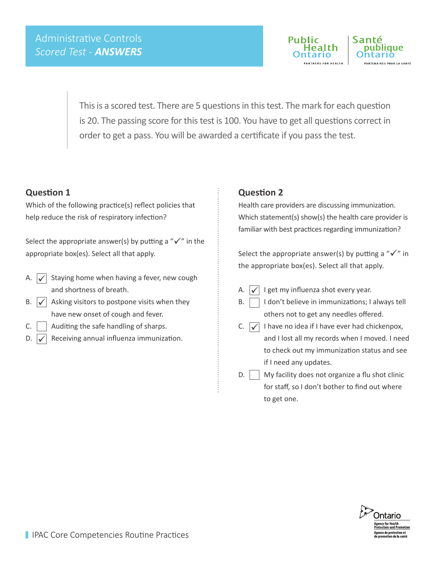

This is a scored test. There are 5 questions in this test. The mark for each question is 20. The passing score for this test is 100. You have to get all questions correct in order to get a pass. You will be awarded a certificate if you pass the test.

# **Question 1**

Which of the following practice(s) reflect policies that help reduce the risk of respiratory infection?

Select the appropriate answer(s) by putting a " $\checkmark$ " in the appropriate box(es). Select all that apply.

- A.  $\boxed{\checkmark}$  Staying home when having a fever, new cough and shortness of breath.
- Asking visitors to postpone visits when they have new onset of cough and fever.  $B. \vert \checkmark \vert$
- $C.$  Auditing the safe handling of sharps.
- Receiving annual influenza immunization.  $D.$   $\sqrt{}$

#### **Question 2**

Health care providers are discussing immunization. Which statement(s) show(s) the health care provider is familiar with best practices regarding immunization?

Select the appropriate answer(s) by putting a " $\checkmark$ " in the appropriate box(es). Select all that apply.

- A.  $|\checkmark|$  I get my influenza shot every year.  $\checkmark$
- $B.$  I don't believe in immunizations; I always tell others not to get any needles offered.
- C.  $\boxed{\checkmark}$  I have no idea if I have ever had chickenpox, and I lost all my records when I moved. I need to check out my immunization status and see if I need any updates.
- $D.$   $\parallel$  My facility does not organize a flu shot clinic for staff, so I don't bother to find out where to get one.

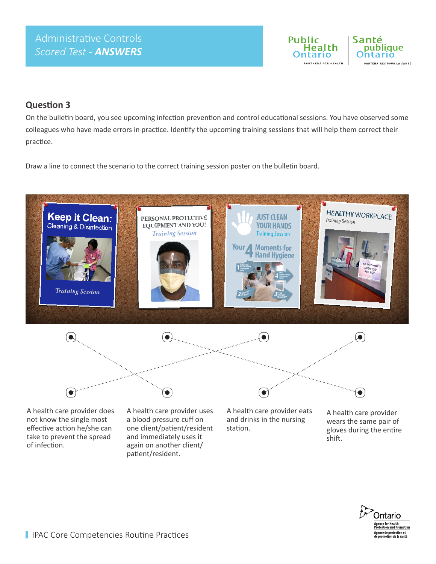

# **Question 3**

On the bulletin board, you see upcoming infection prevention and control educational sessions. You have observed some colleagues who have made errors in practice. Identify the upcoming training sessions that will help them correct their practice.

Draw a line to connect the scenario to the correct training session poster on the bulletin board.



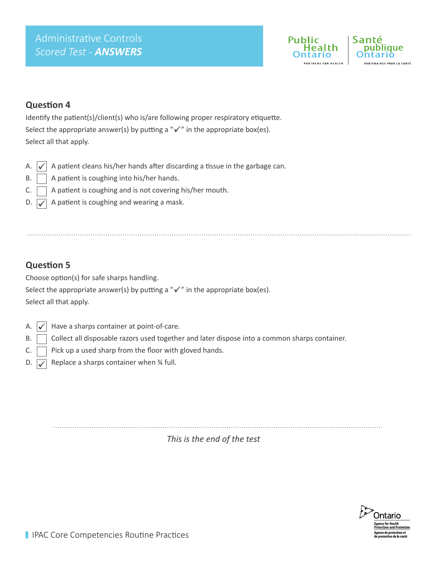

# **Question 4**

Identify the patient(s)/client(s) who is/are following proper respiratory etiquette. Select the appropriate answer(s) by putting a " $\checkmark$ " in the appropriate box(es). Select all that apply.

- A. A patient cleans his/her hands after discarding a tissue in the garbage can. A.  $\vert \checkmark \vert$
- $B.$  A patient is coughing into his/her hands.
- C.  $\Box$  A patient is coughing and is not covering his/her mouth.
- D.  $\sqrt{\phantom{a}}$  A patient is coughing and wearing a mask.  $\checkmark$

# **Question 5**

Choose option(s) for safe sharps handling.

Select the appropriate answer(s) by putting a " $\checkmark$ " in the appropriate box(es). Select all that apply.

- A.  $|\mathcal{V}|$  Have a sharps container at point-of-care.  $\checkmark$
- $B.$   $\Box$  Collect all disposable razors used together and later dispose into a common sharps container.
- C.  $\Box$  Pick up a used sharp from the floor with gloved hands.
- D.  $\sqrt{\phantom{a}}$  Replace a sharps container when  $\frac{3}{4}$  full.  $\checkmark$

*This is the end of the test*